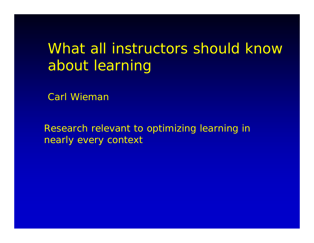## What all instructors should know about learning

Carl Wieman

Research relevant to optimizing learning in nearly every context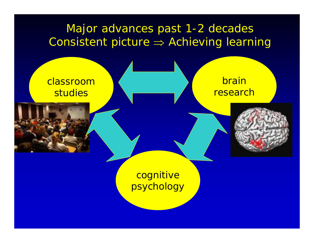## Major advances past 1-2 decades Consistent picture <sup>⇒</sup> Achieving learning

classroomstudies

brainresearch



cognitive psychology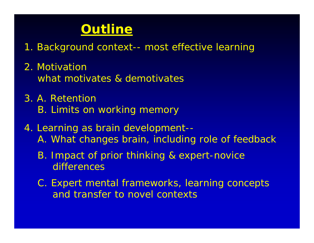## **Outline**

- 1. Background context-- most effective learning
- 2. Motivationwhat motivates & demotivates
- 3. A. RetentionB. Limits on working memory
- 4. Learning as brain development-- A. What changes brain, including role of feedback
	- B. Impact of prior thinking & expert-novice differences
	- C. Expert mental frameworks, learning concepts and transfer to novel contexts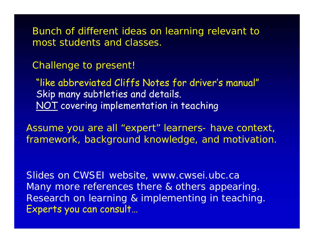Bunch of different ideas on learning relevant to most students and classes.

Challenge to present!

"like abbreviated Cliffs Notes for driver's manual" Skip many subtleties and details. NOT covering implementation in teaching

Assume you are all "expert" learners- have context, framework, background knowledge, and motivation.

Slides on CWSEI website, www.cwsei.ubc.ca Many more references there & others appearing. Research on learning & implementing in teaching. Experts you can consult…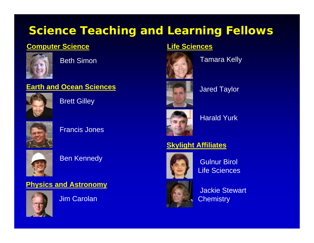## **Science Teaching and Learning Fellows**

#### **Computer Science**



Beth Simon

#### **Earth and Ocean Sciences**



Brett Gilley



Francis Jones



#### Ben Kennedy

#### **Physics and Astronomy**



Jim Carolan

#### **Life Sciences**



Tamara Kelly



#### Jared Taylor



Harald Yurk

#### **Skylight Affiliates**



Gulnur Birol Life Sciences

Jackie Stewart **Chemistry**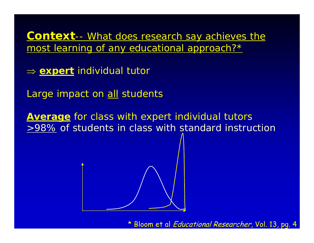**Context**-- What does research say achieves the most learning of any educational approach?\*

- ⇒ **expert** individual tutor
- Large impact on all students

**Average** for class with expert individual tutors >98% of students in class with standard instruction



\* Bloom et al Educational Researcher, Vol. 13, pg. 4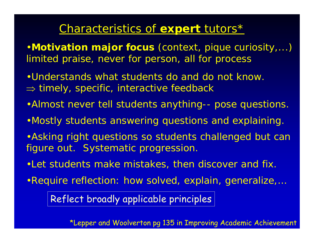### Characteristics of **expert** tutors\*

- •**Motivation major focus** (context, pique curiosity,...) limited praise, never for person, all for process
- •Understands what students do and do not know.  $\Rightarrow$  timely, specific, interactive feedback
- •Almost never tell students anything-- pose questions.
- •Mostly students answering questions and explaining.
- •Asking right questions so students challenged but can figure out. Systematic progression.
- •Let students make mistakes, then discover and fix.
- •Require reflection: how solved, explain, generalize,…

Reflect broadly applicable principles

\*Lepper and Woolverton pg 135 in Improving Academic Achievement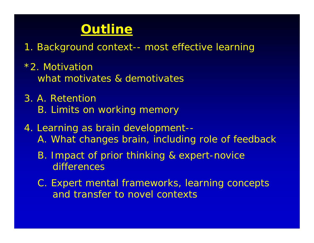## **Outline**

- 1. Background context-- most effective learning
- \*2. Motivationwhat motivates & demotivates
- 3. A. RetentionB. Limits on working memory
- 4. Learning as brain development-- A. What changes brain, including role of feedback
	- B. Impact of prior thinking & expert-novice differences
	- C. Expert mental frameworks, learning concepts and transfer to novel contexts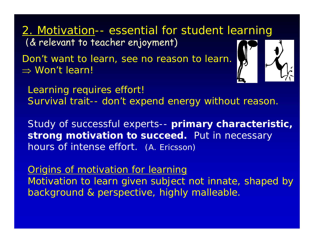2. Motivation-- essential for student learning (& relevant to teacher enjoyment)

Don't want to learn, see no reason to learn. ⇒ Won't learn!



Learning requires effort! Survival trait-- don't expend energy without reason.

Study of successful experts-- **primary characteristic, strong motivation to succeed.** Put in necessary hours of intense effort. (A. Ericsson)

Origins of motivation for learning Motivation to learn given subject not innate, shaped by background & perspective, highly malleable.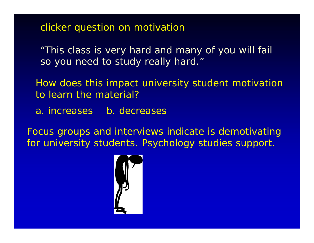clicker question on motivation

*"This class is very hard and many of you will fail so you need to study really hard."*

How does this impact university student motivation to learn the material?

a. increases b. decreases

Focus groups and interviews indicate is demotivating for university students. Psychology studies support.

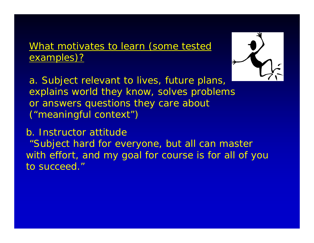#### What motivates to learn (*some* tested examples)?



a. Subject relevant to lives, future plans, explains world they know, solves problems or answers questions they care about ("meaningful context")

b. Instructor attitude*"Subject hard for everyone, but all can master with effort, and my goal for course is for all of you to succeed."*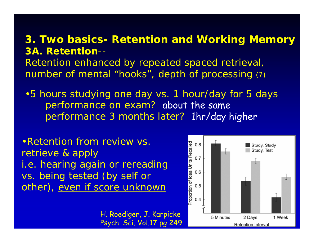#### **3. Two basics- Retention and Working Memory 3A. Retention**--

Retention enhanced by repeated spaced retrieval, number of mental "hooks", depth of processing (?)

•5 hours studying one day vs. 1 hour/day for 5 days performance on exam? about the same performance 3 months later? 1hr/day higher

•Retention from review vs. retrieve & apply *i.e. hearing again or rereading vs. being tested (by self or other), even if score unknown*

> H. Roediger, J. Karpicke Psych. Sci. Vol.17 pg 249

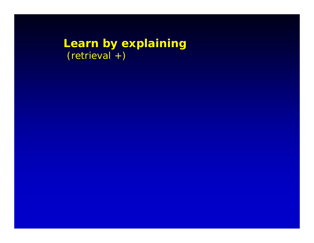### **Learn by explaining** (retrieval +)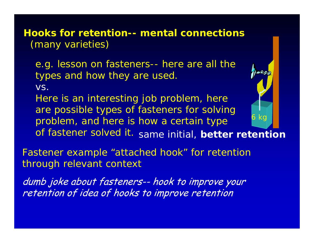**Hooks for retention-- mental connections** (many varieties)

e.g. lesson on fasteners-- here are all the types and how they are used.

vs.

*Here is an interesting job problem, here are possible types of fasteners for solving problem, and here is how a certain type* 

*of fastener solved it. same initial,* **better retention**

6 kg

**AAA** 

Fastener example "*attached hook"* for retention through relevant context

dumb joke about fasteners-- hook to improve your retention of idea of hooks to improve retention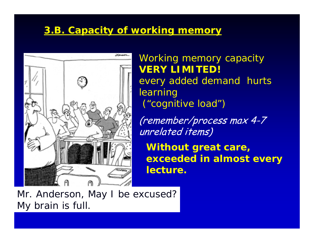#### **3.B. Capacity of working memory**



Working memory capacity **VERY LIMITED!** *every added demand hurts learning ("cognitive load")*

(remember/process max 4-7 unrelated items)

**Without great care, exceeded in almost every lecture.**

Mr. Anderson, May I be excused? My brain is full.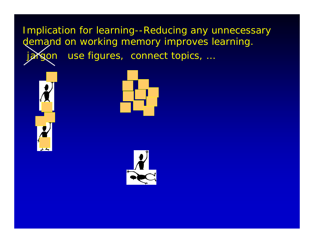Implication for learning--Reducing any unnecessary demand on working memory improves learning. jargon use figures, connect topics, ...





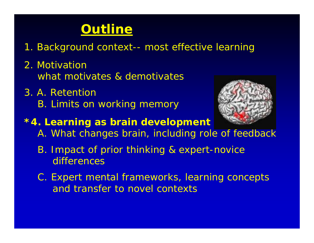## **Outline**

- 1. Background context-- most effective learning
- 2. Motivationwhat motivates & demotivates
- 3. A. RetentionB. Limits on working memory



- **\*4. Learning as brain development**
	- A. What changes brain, including role of feedback
	- B. Impact of prior thinking & expert-novice differences
	- C. Expert mental frameworks, learning concepts and transfer to novel contexts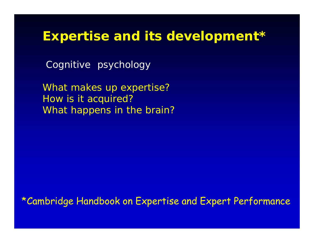## **Expertise and its development\***

Cognitive psychology

*What makes up expertise? How is it acquired? What happens in the brain?*

\*Cambridge Handbook on Expertise and Expert Performance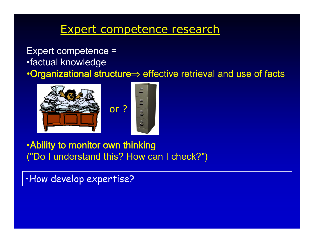### Expert competence research

#### Expert competence = •factual knowledge •Organizational structure<sup>⇒</sup> effective retrieval and use of facts



#### •Ability to monitor own thinking ("Do I understand this? How can I check?")

•How develop expertise?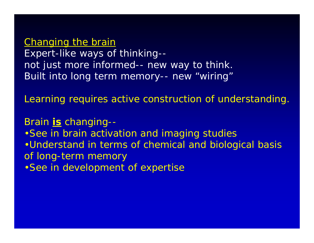Changing the brain Expert-like ways of thinking- not just more informed-- new way to think. Built into long term memory-- new "wiring"

Learning requires active construction of understanding.

Brain **is** changing-- •See in brain activation and imaging studies •Understand in terms of chemical and biological basis of long-term memory •See in development of expertise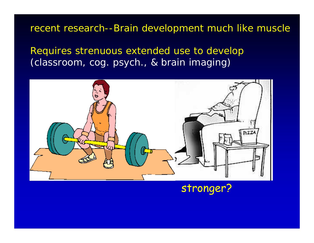#### recent research--Brain development much like muscle

Requires strenuous extended use to develop *(classroom, cog. psych., & brain imaging)*



### stronger?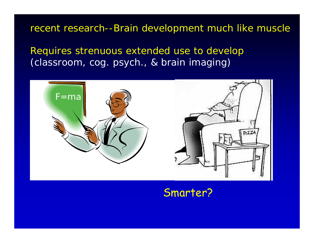recent research--Brain development much like muscle

Requires strenuous extended use to develop *(classroom, cog. psych., & brain imaging)*



#### Smarter?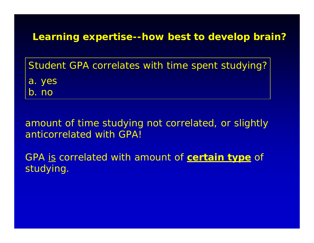**Learning expertise--how best to develop brain?**

Student GPA correlates with time spent studying? a. yes b. no

amount of time studying not correlated, or slightly anticorrelated with GPA!

GPA is correlated with amount of **certain type** of studying.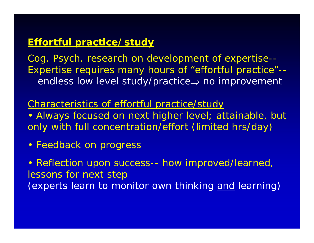#### **Effortful practice/study**

Cog. Psych. research on development of expertise-- Expertise requires many hours of "effortful practice"- endless low level study/practice ⇒ no improvement

Characteristics of effortful practice/study

• Always focused on next higher level; attainable, but only with full concentration/effort *(limited hrs/day)*

• Feedback on progress

• Reflection upon success-- *how improved/learned, lessons for next step (experts learn to monitor own thinking and learning)*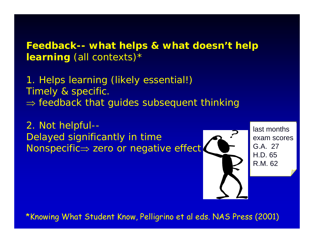**Feedback-- what helps & what doesn't help learning** (all contexts)\*

1. Helps learning *(likely essential!)* Timely & specific.  $\Rightarrow$  feedback that guides subsequent thinking

2. Not helpful-- Delayed significantly in time Nonspecific ⇒ zero or negative effect



last monthsexam scoresG.A. 27H.D. 65R.M. 62

\*Knowing What Student Know, Pelligrino et al eds. NAS Press (2001)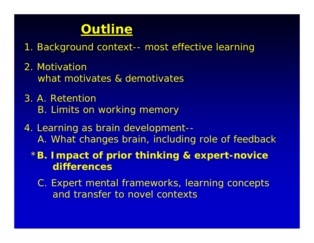## **Outline**

- 1. Background context-- most effective learning
- 2. Motivationwhat motivates & demotivates
- 3. A. RetentionB. Limits on working memory
- 4. Learning as brain development-- A. What changes brain, including role of feedback

\***B. Impact of prior thinking & expert-novice differences**

C. Expert mental frameworks, learning concepts and transfer to novel contexts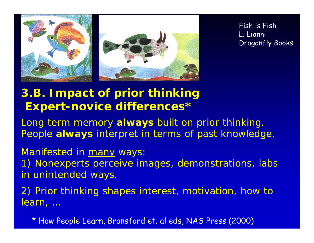

Fish is Fish L. Lionni Dragonfly Books

## **3.B. Impact of prior thinking Expert-novice differences\***

*Long term memory always built on prior thinking. People always interpret in terms of past knowledge.*

#### Manifested in many ways:

1) Nonexperts perceive images, demonstrations, labs in unintended ways.

2) Prior thinking shapes interest, motivation, how to learn, …

\* How People Learn, Bransford et. al eds, NAS Press (2000)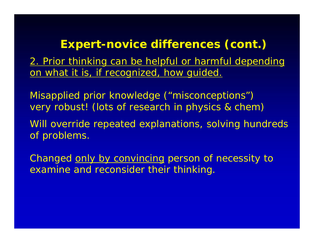### **Expert-novice differences (cont.)**

2. Prior thinking can be helpful or harmful depending on what it is, if recognized, how quided.

Misapplied prior knowledge ("misconceptions") very robust! *(lots of research in physics & chem)*

Will override repeated explanations, solving hundreds of problems.

Changed only by convincing person of necessity to examine and reconsider their thinking.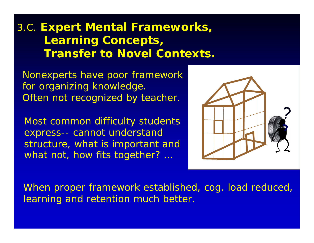## 3.C. **Expert Mental Frameworks, Learning Concepts, Transfer to Novel Contexts.**

Nonexperts have poor framework for organizing knowledge. Often not recognized by teacher.

Most common difficulty students express-- cannot understand structure, what is important and what not, how fits together? ...



When proper framework established, cog. load reduced, learning and retention much better.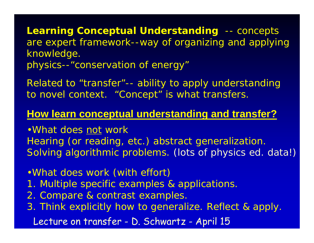**Learning Conceptual Understanding** -- concepts are expert framework--way of organizing and applying knowledge. *physics--"conservation of energy"*

Related to "transfer"-- ability to apply understanding to novel context. "Concept" is what transfers.

### **How learn conceptual understanding and transfer?**

•What does not work Hearing (or reading, etc.) abstract generalization. Solving algorithmic problems. *(lots of physics ed. data!)*

- •What does work *(with effort)*
- 1. Multiple specific examples & applications.
- 2. Compare & contrast examples.
- 3. Think explicitly how to generalize. Reflect & apply. Lecture on transfer - D. Schwartz - April 15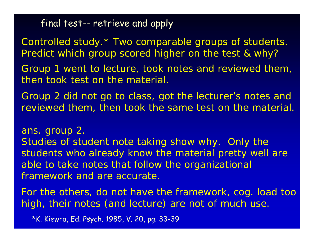final test-- retrieve and apply

Controlled study.\* Two comparable groups of students. Predict which group scored higher on the test & why?

Group 1 went to lecture, took notes and reviewed them, then took test on the material.

Group 2 did not go to class, got the lecturer's notes and reviewed them, then took the same test on the material.

ans. group 2.

Studies of student note taking show why. Only the students who already know the material pretty well are able to take notes that follow the organizational framework and are accurate.

For the others, do not have the framework, cog. load too high, their notes (and lecture) are not of much use.

\*K. Kiewra, Ed. Psych. 1985, V. 20, pg. 33-39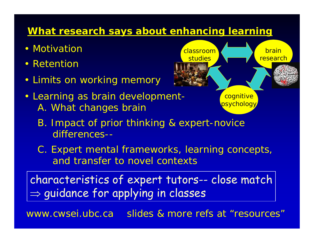#### **What research says about enhancing learning**

- Motivation
- Retention
- Limits on working memory
- Learning as brain development-A. What changes brain
- cognitive psychology brainresearch classroom**studies** 
	- B. Impact of prior thinking & expert-novice differences--
	- C. Expert mental frameworks, learning concepts, and transfer to novel contexts

characteristics of expert tutors-- close match  $\Rightarrow$  guidance for applying in classes

www.cwsei.ubc.ca slides & more refs at "resources"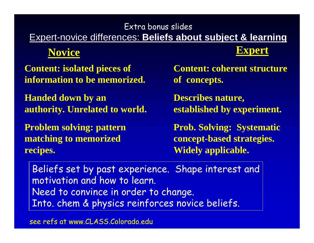### Extra bonus slides Expert-novice differences: **Beliefs about subject & learning**

## **Novice Expert**

**Content: isolated pieces of information to be memorized.**

**Handed down by an authority. Unrelated to world.**

**Problem solving: pattern matching to memorized recipes.**

**Content: coherent structure of concepts.**

**Describes nature, established by experiment.**

**Prob. Solving: Systematic concept-based strategies. Widely applicable.**

Beliefs set by past experience. Shape interest and motivation and how to learn. Need to convince in order to change. Into. chem & physics reinforces novice beliefs.

see refs at www.CLASS.Colorado.edu